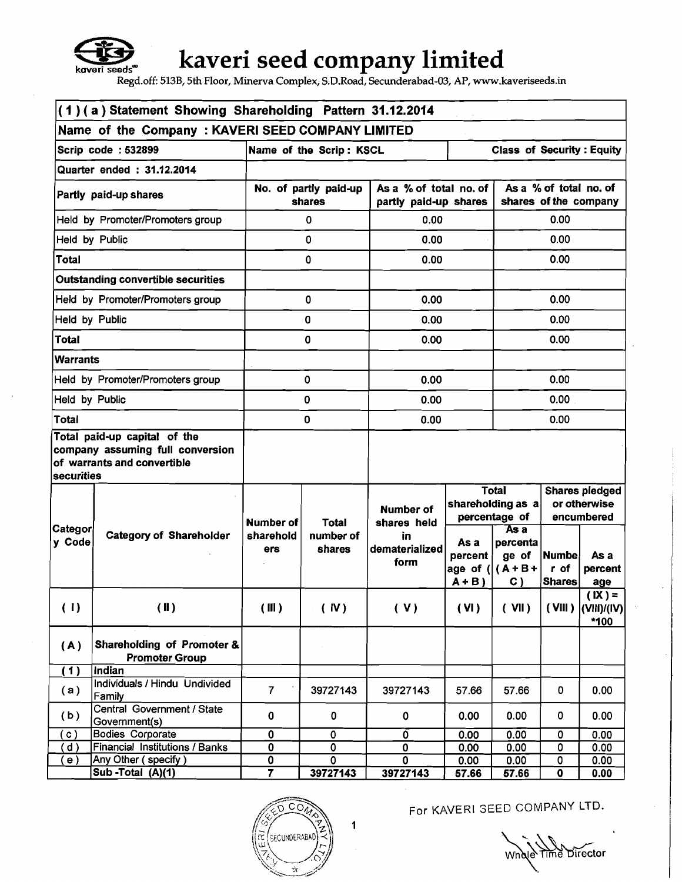

# **kaveri seed company limited**

**Regd.off: 513B, 5th Floor, Minerva Complex, S.D.Road, Secunderabad-03, AP, www.kaveriseeds.in** 

| (1)(a) Statement Showing Shareholding Pattern 31.12.2014 |                                                                                                 |                                 |                     |                                                 |                                                    |                                                 |                                                     |                                           |  |
|----------------------------------------------------------|-------------------------------------------------------------------------------------------------|---------------------------------|---------------------|-------------------------------------------------|----------------------------------------------------|-------------------------------------------------|-----------------------------------------------------|-------------------------------------------|--|
| Name of the Company: KAVERI SEED COMPANY LIMITED         |                                                                                                 |                                 |                     |                                                 |                                                    |                                                 |                                                     |                                           |  |
|                                                          | Scrip code: 532899<br><b>Class of Security: Equity</b><br>Name of the Scrip: KSCL               |                                 |                     |                                                 |                                                    |                                                 |                                                     |                                           |  |
| Quarter ended: 31.12.2014                                |                                                                                                 |                                 |                     |                                                 |                                                    |                                                 |                                                     |                                           |  |
|                                                          | Partly paid-up shares                                                                           | No. of partly paid-up<br>shares |                     | As a % of total no. of<br>partly paid-up shares |                                                    | As a % of total no. of<br>shares of the company |                                                     |                                           |  |
|                                                          | Held by Promoter/Promoters group                                                                |                                 | 0                   | 0.00                                            |                                                    | 0.00                                            |                                                     |                                           |  |
|                                                          | Held by Public                                                                                  |                                 | 0                   | 0.00                                            |                                                    |                                                 | 0.00                                                |                                           |  |
| <b>Total</b>                                             |                                                                                                 |                                 | 0                   | 0.00                                            |                                                    |                                                 | 0.00                                                |                                           |  |
|                                                          | <b>Outstanding convertible securities</b>                                                       |                                 |                     |                                                 |                                                    |                                                 |                                                     |                                           |  |
|                                                          | Held by Promoter/Promoters group                                                                |                                 | 0                   | 0.00                                            |                                                    |                                                 | 0.00                                                |                                           |  |
| Held by Public                                           |                                                                                                 |                                 | $\mathbf 0$         | 0.00                                            |                                                    |                                                 | 0.00                                                |                                           |  |
| <b>Total</b>                                             |                                                                                                 |                                 | $\mathbf 0$         | 0.00                                            |                                                    |                                                 | 0.00                                                |                                           |  |
| <b>Warrants</b>                                          |                                                                                                 |                                 |                     |                                                 |                                                    |                                                 |                                                     |                                           |  |
|                                                          | Held by Promoter/Promoters group                                                                |                                 | 0                   | 0.00                                            |                                                    |                                                 | 0.00                                                |                                           |  |
| Held by Public                                           |                                                                                                 | 0                               |                     | 0.00                                            |                                                    | 0.00                                            |                                                     |                                           |  |
| <b>Total</b>                                             |                                                                                                 | 0                               |                     | 0.00                                            |                                                    | 0.00                                            |                                                     |                                           |  |
| <b>securities</b>                                        | Total paid-up capital of the<br>company assuming full conversion<br>of warrants and convertible |                                 |                     |                                                 |                                                    |                                                 |                                                     |                                           |  |
|                                                          |                                                                                                 | <b>Number of</b>                | Total               | <b>Number of</b><br>shares held                 | <b>Total</b><br>shareholding as a<br>percentage of |                                                 | <b>Shares pledged</b><br>or otherwise<br>encumbered |                                           |  |
| ∣Categor∣<br>y Code                                      | <b>Category of Shareholder</b>                                                                  | sharehold<br>ers                | number of<br>shares | in<br>dematerialized<br>form                    | As a<br>percent<br>age of $( (A+B+$<br>$A + B$     | $\overline{Asa}$<br>percenta<br>ge of<br>C)     | <b>Numbel</b><br>r of<br><b>Shares</b>              | As a<br>percent<br>age                    |  |
| (1)                                                      | (II)                                                                                            | (III)                           | (IV)                | (V)                                             | (VI)                                               | (VII)                                           |                                                     | $(X) =$<br>$(VIII)$ $(VIII)/(IV)$<br>*100 |  |
| (A)                                                      | Shareholding of Promoter &<br><b>Promoter Group</b>                                             |                                 |                     |                                                 |                                                    |                                                 |                                                     |                                           |  |
| (1)                                                      | Indian                                                                                          |                                 |                     |                                                 |                                                    |                                                 |                                                     |                                           |  |
| (a)                                                      | Individuals / Hindu Undivided<br>Family                                                         | $\overline{7}$                  | 39727143            | 39727143                                        | 57.66                                              | 57.66                                           | 0                                                   | 0.00                                      |  |
| (b)                                                      | Central Government / State<br>Government(s)                                                     | 0                               | 0                   | 0                                               | 0.00                                               | 0.00                                            | 0                                                   | 0.00                                      |  |
| $\circ)$                                                 | <b>Bodies Corporate</b>                                                                         | 0                               | 0                   | $\overline{0}$                                  | 0.00                                               | 0.00                                            | 0                                                   | 0.00                                      |  |
| d)                                                       | Financial Institutions / Banks                                                                  | 0                               | 0                   | 0                                               | 0.00                                               | 0.00                                            | 0                                                   | 0.00                                      |  |
| e)                                                       | Any Other (specify)                                                                             | 0                               | 0                   | 0                                               | 0.00                                               | 0.00                                            | 0                                                   | 0.00                                      |  |
|                                                          | Sub-Total $(A)(1)$                                                                              | $\overline{\mathbf{7}}$         | 39727143            | 39727143                                        | 57.66                                              | 57.66                                           | 0                                                   | 0.00                                      |  |



For KAVERI SEED COMPANY LTD.

e Time Director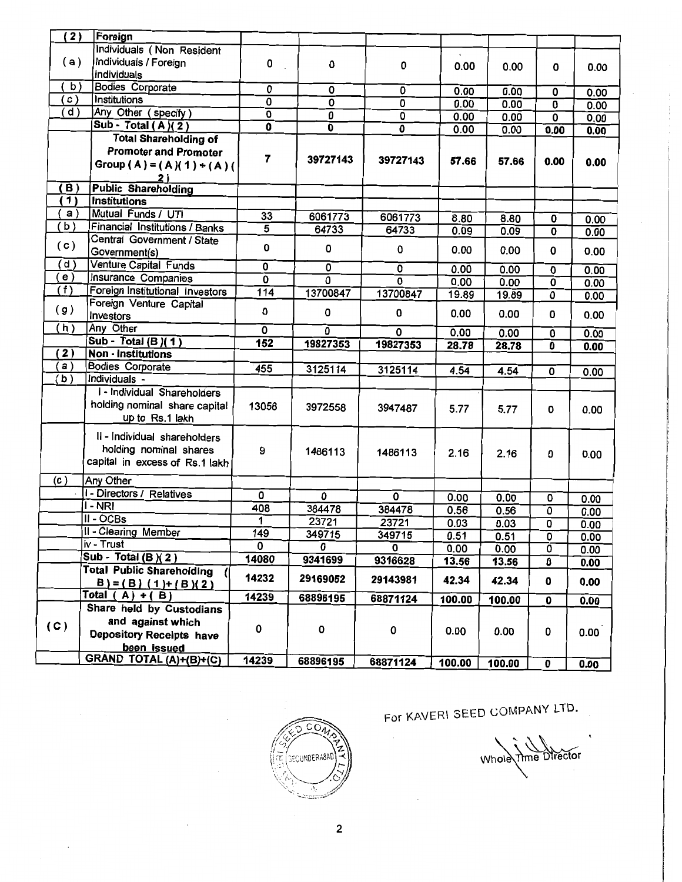| $\overline{(2)}$  | Foreign                               |                           |                         |                |        |        |                           |      |
|-------------------|---------------------------------------|---------------------------|-------------------------|----------------|--------|--------|---------------------------|------|
|                   | Individuals (Non Resident             |                           |                         |                |        |        |                           |      |
| (a)               | Individuals / Foreign                 | 0                         | 0                       | 0              | 0.00   | 0.00   | 0                         | 0.00 |
|                   | individuals                           |                           |                         |                |        |        |                           |      |
| b)                | <b>Bodies Corporate</b>               | 0                         | 0                       | 0              | 0.00   | 0.00   | 0                         | 0.00 |
| $\left( c\right)$ | <b>Institutions</b>                   | $\overline{\mathfrak{o}}$ | $\overline{0}$          | 0              | 0.00   | 0.00   | 0                         | 0.00 |
| (d)               | Any Other (specify)                   | $\overline{\mathbf{0}}$   | $\overline{\mathbf{0}}$ | $\overline{0}$ | 0.00   | 0.00   | $\overline{\mathbf{0}}$   | 0.00 |
|                   | Sub - Total $(A)(2)$                  | 0                         | 0                       | 0              | 0.00   | 0.00   | 0.00                      | 0.00 |
|                   | <b>Total Shareholding of</b>          |                           |                         |                |        |        |                           |      |
|                   | <b>Promoter and Promoter</b>          | 7                         |                         |                |        |        |                           |      |
|                   | Group (A) = (A)(1) + (A)(             |                           | 39727143                | 39727143       | 57.66  | 57.66  | 0.00                      | 0.00 |
|                   | <u>2)</u>                             |                           |                         |                |        |        |                           |      |
| (B)               | <b>Public Shareholding</b>            |                           |                         |                |        |        |                           |      |
| 1)                | <b>Institutions</b>                   |                           |                         |                |        |        |                           |      |
| a)                | Mutual Funds / UTI                    | 33                        | 6061773                 | 6061773        | 8.80   | 8.80   | 0                         | 0.00 |
| b)                | <b>Financial Institutions / Banks</b> | $\overline{5}$            | 64733                   | 64733          | 0.09   | 0.09   | 0                         | 0.00 |
| (c)               | Central Government / State            |                           |                         |                |        |        |                           |      |
|                   | Government(s)                         | 0                         | 0                       | 0              | 0.00   | 0.00   | 0                         | 0.00 |
| d)                | Venture Capital Funds                 | $\overline{\mathfrak{o}}$ | $\overline{0}$          | 0              | 0.00   | 0.00   | $\overline{\mathbf{0}}$   | 0.00 |
| (e)               | <b>Insurance Companies</b>            | 0                         | $\overline{\mathbf{0}}$ | 0              | 0.00   | 0.00   | $\overline{\mathbf{0}}$   | 0.00 |
| (f)               | Foreign Institutional Investors       | 114                       | 13700847                | 13700847       | 19.89  | 19.89  | O                         | 0.00 |
|                   | Foreign Venture Capital               |                           |                         |                |        |        |                           |      |
| (g)               | Investors                             | 0                         | 0                       | 0              | 0.00   | 0.00   | 0                         | 0.00 |
| (h)               | Any Other                             | 0                         | 0                       | 0              | 0.00   | 0.00   | 0                         | 0.00 |
|                   | Sub - Total (B)(1)                    | 152                       | 19827353                | 19827353       | 28.78  | 28.78  | $\overline{\mathbf{0}}$   | 0.00 |
| (2)               | <b>Non - Institutions</b>             |                           |                         |                |        |        |                           |      |
| a)                | <b>Bodies Corporate</b>               | 455                       | 3125114                 | 3125114        | 4.54   | 4.54   | 0                         | 0.00 |
| (b)               | Individuals -                         |                           |                         |                |        |        |                           |      |
|                   | I - Individual Shareholders           |                           |                         |                |        |        |                           |      |
|                   | holding nominal share capital         | 13058                     | 3972558                 | 3947487        | 5.77   | 5.77   | 0                         | 0.00 |
|                   | up to Rs.1 lakh                       |                           |                         |                |        |        |                           |      |
|                   | II - Individual shareholders          |                           |                         |                |        |        |                           |      |
|                   |                                       |                           |                         |                |        |        |                           |      |
|                   | holding nominal shares                | 9                         | 1486113                 | 1486113        | 2.16   | 2.16   | 0                         | 0.00 |
|                   | capital in excess of Rs.1 lakh        |                           |                         |                |        |        |                           |      |
| (c)               | Any Other                             |                           |                         |                |        |        |                           |      |
|                   | I - Directors / Relatives             | 0                         | 0                       | O              | 0.00   | 0.00   | 0                         | 0.00 |
|                   | I - NRI                               | 408                       | 384478                  | 384478         | 0.56   | 0.56   | 0                         | 0.00 |
|                   | $II - OCBs$                           | 1                         | 23721                   | 23721          | 0.03   | 0.03   | $\overline{\mathfrak{o}}$ | 0.00 |
|                   | II - Clearing Member                  | 149                       | 349715                  | 349715         | 0.51   | 0.51   | 0                         | 0.00 |
|                   | iv - Trust                            | 0                         | 0                       | 0              | 0.00   | 0.00   | 0                         | 0.00 |
|                   | Sub - Total (B) $(2)$                 | 14080                     | 9341699                 | 9316628        | 13.56  | 13.56  | 0                         | 0.00 |
|                   | <b>Total Public Shareholding</b>      |                           |                         |                |        |        |                           |      |
|                   | $B = (B) (1) + (B) (2)$               | 14232                     | 29169052                | 29143981       | 42.34  | 42.34  | 0                         | 0.00 |
|                   | Total $(A) + (B)$                     | 14239                     | 68896195                | 68871124       | 100.00 | 100.00 | $\mathbf 0$               | 0.00 |
|                   | Share held by Custodians              |                           |                         |                |        |        |                           |      |
| (C)               | and against which                     |                           |                         |                |        |        |                           |      |
|                   | <b>Depository Receipts have</b>       | 0                         | O                       | 0              | 0.00   | 0.00   | 0                         | 0.00 |
|                   | been issued                           |                           |                         |                |        |        |                           |      |
|                   | GRAND TOTAL (A)+(B)+(C)               | 14239                     | 68896195                | 68871124       | 100.00 | 100.00 | $\mathbf{a}$              | n nn |



## For KAVERI SEED COMPANY LTD.

Whole Time Director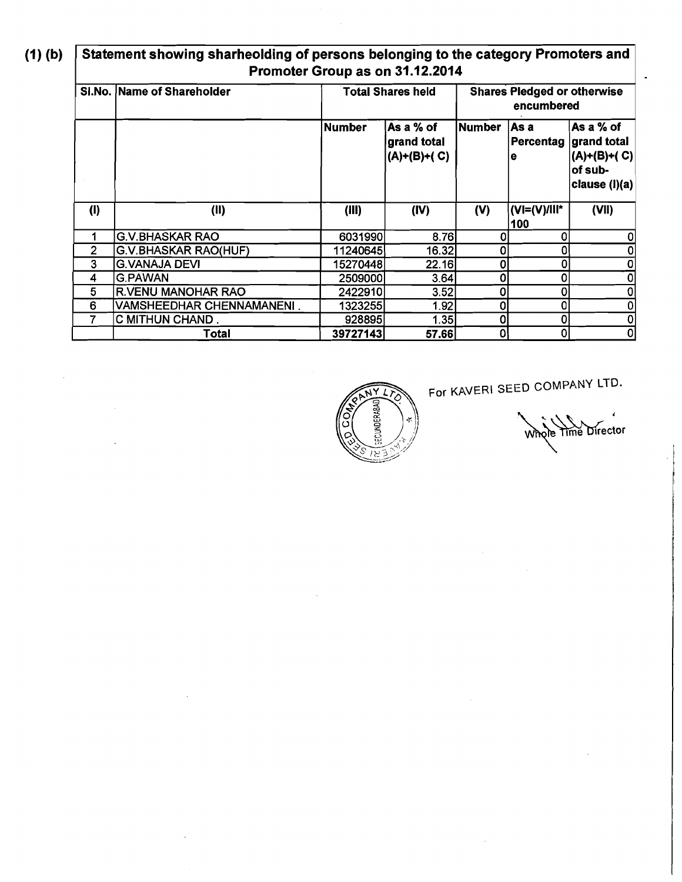$(1)$  $(b)$ 

#### **Statement showing sharheolding of persons belonging to the category Promoters and Promoter Group as on 31.12.2014**

|                | SI.No. Name of Shareholder  | <b>Total Shares held</b> |                                           | <b>Shares Pledged or otherwise</b><br>encumbered |                     |                                                                                  |
|----------------|-----------------------------|--------------------------|-------------------------------------------|--------------------------------------------------|---------------------|----------------------------------------------------------------------------------|
|                |                             | Number                   | lAs a % of<br>grand total<br>(A)+(B)+( C) | Number                                           | ∣As a<br>le         | As a % of<br>Percentag  grand total<br>(A)+(B)+( C)<br>of sub-<br> clause (l)(a) |
| (1)            | (II)                        | (III)                    | (IV)                                      | (V)                                              | (VI=(V)/III*<br>100 | (VII)                                                                            |
|                | <b>G.V.BHASKAR RAO</b>      | 6031990                  | 8.76                                      |                                                  | 0                   |                                                                                  |
| $\overline{2}$ | <b>G.V.BHASKAR RAO(HUF)</b> | 11240645                 | 16.32                                     | 0                                                | 0                   |                                                                                  |
| 3              | <b>G.VANAJA DEVI</b>        | 152704481                | 22.16I                                    | 0                                                | 0                   |                                                                                  |
| 4              | <b>G.PAWAN</b>              | 25090001                 | 3.64                                      | ٥                                                | 0                   |                                                                                  |
| $5\phantom{1}$ | <b>R.VENU MANOHAR RAO</b>   | 2422910                  | 3.52                                      | 0                                                | 0                   |                                                                                  |
| 6              | VAMSHEEDHAR CHENNAMANENI.   | 1323255                  | 1.92                                      | 0                                                | 0                   |                                                                                  |
| 7              | C MITHUN CHAND.             | 928895                   | 1.35                                      | 0                                                | 0                   |                                                                                  |
|                | Total                       | 39727143                 | 57.66                                     | 0                                                | 0                   |                                                                                  |



**For** KAVERl SEED COMPANY LTD.

Whole Time Director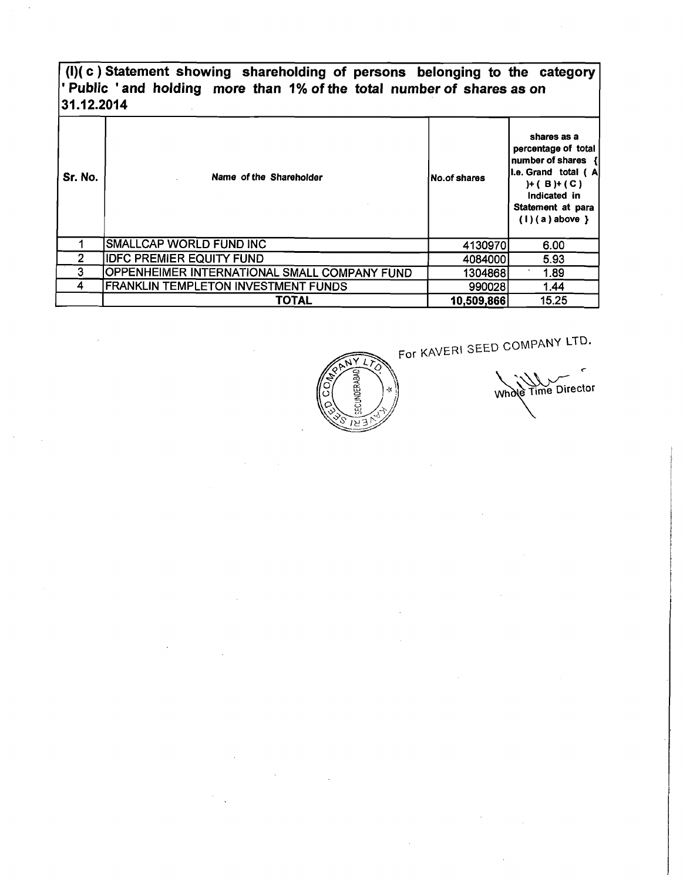#### **(I)( c** ) **Statement showing shareholding of persons belonging to the category**  ' **Public** ' **and holding more than 1% of the total number of shares as on 31.12.2014**

| Sr. No. | Name of the Shareholder                      | No.of shares | shares as a<br>percentage of total<br>number of shares {<br>I.e. Grand total (A<br>$H(B) + (C)$<br>Indicated in<br>Statement at para<br>$(1)(a)$ above } |
|---------|----------------------------------------------|--------------|----------------------------------------------------------------------------------------------------------------------------------------------------------|
|         | <b>SMALLCAP WORLD FUND INC</b>               | 4130970      | 6.00                                                                                                                                                     |
| 2       | <b>IDFC PREMIER EQUITY FUND</b>              | 4084000      | 5.93                                                                                                                                                     |
| 3       | OPPENHEIMER INTERNATIONAL SMALL COMPANY FUND | 1304868      | 1.89                                                                                                                                                     |
| 4       | <b>FRANKLIN TEMPLETON INVESTMENT FUNDS</b>   | 990028       | 1.44                                                                                                                                                     |
|         | <b>TOTAL</b>                                 | 10,509,866   | 15.25                                                                                                                                                    |

For KAVERl SEED COMPANY **LTQ.** 



Whole Time Director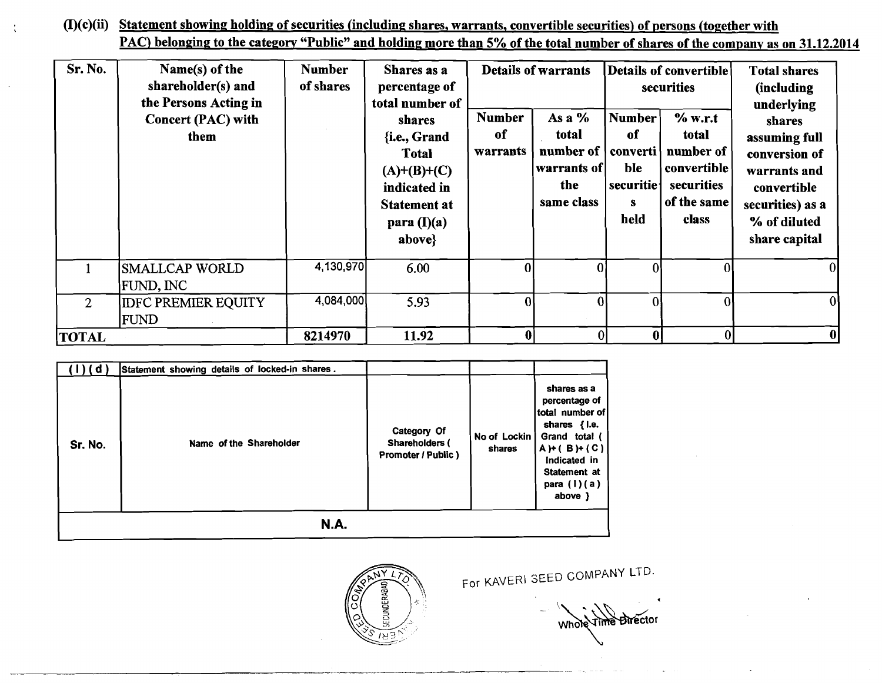### (I)(c)(ii) Statement showing holding of securities (including shares, warrants, convertible securities) of persons (together with PAC) belonging to the category "Public" and holding more than 5% of the total number of shares of the company as on 31.12.2014

| Sr. No.        | Name(s) of the<br>shareholder(s) and<br>the Persons Acting in<br><b>Concert (PAC) with</b><br>them | <b>Number</b><br>of shares | Shares as a<br>percentage of<br>total number of<br>shares<br>{i.e., Grand<br><b>Total</b><br>$(A)+(B)+(C)$<br>indicated in<br><b>Statement at</b><br>para $(I)(a)$<br>above} | <b>Number</b><br>of<br>warrants | <b>Details of warrants</b><br>As a $%$<br>total<br>number of  <br> warrants of  <br>the<br>same class | Number<br>оf<br>  converti  <br>ble<br>securitie<br>s<br>held | Details of convertible<br>securities<br>% w.r.t<br>total<br>number of<br>convertible<br>securities<br>of the same<br>class | <b>Total shares</b><br><i>(including)</i><br>underlying<br>shares<br>assuming full<br>conversion of<br>warrants and<br>convertible<br>securities) as a<br>% of diluted<br>share capital |
|----------------|----------------------------------------------------------------------------------------------------|----------------------------|------------------------------------------------------------------------------------------------------------------------------------------------------------------------------|---------------------------------|-------------------------------------------------------------------------------------------------------|---------------------------------------------------------------|----------------------------------------------------------------------------------------------------------------------------|-----------------------------------------------------------------------------------------------------------------------------------------------------------------------------------------|
|                | <b>SMALLCAP WORLD</b><br><b>FUND, INC</b>                                                          | 4,130,970                  | 6.00                                                                                                                                                                         |                                 |                                                                                                       |                                                               |                                                                                                                            | 0                                                                                                                                                                                       |
| $\overline{2}$ | <b>IDFC PREMIER EQUITY</b><br>FUND                                                                 | 4,084,000                  | 5.93                                                                                                                                                                         |                                 |                                                                                                       |                                                               |                                                                                                                            | $\overline{0}$                                                                                                                                                                          |
| <b> TOTAL</b>  |                                                                                                    | 8214970                    | 11.92                                                                                                                                                                        |                                 |                                                                                                       | A                                                             | $\bf{0}$                                                                                                                   | 0                                                                                                                                                                                       |

| ( d )       | Statement showing details of locked-in shares. |                                                            |                        | shares as a<br>percentage of<br>total number of                                                                  |  |  |
|-------------|------------------------------------------------|------------------------------------------------------------|------------------------|------------------------------------------------------------------------------------------------------------------|--|--|
| Sr. No.     | Name of the Shareholder                        | Category Of<br><b>Shareholders (</b><br>Promoter / Public) | No of Lockin<br>shares | shares $\{1.e.$<br>Grand total (<br>$A) + (B) + (C)$<br>Indicated in<br>Statement at<br>para $(l)(a)$<br>above } |  |  |
| <b>N.A.</b> |                                                |                                                            |                        |                                                                                                                  |  |  |



For KAVERI SEED COMPANY LTD.

Whole Time Director